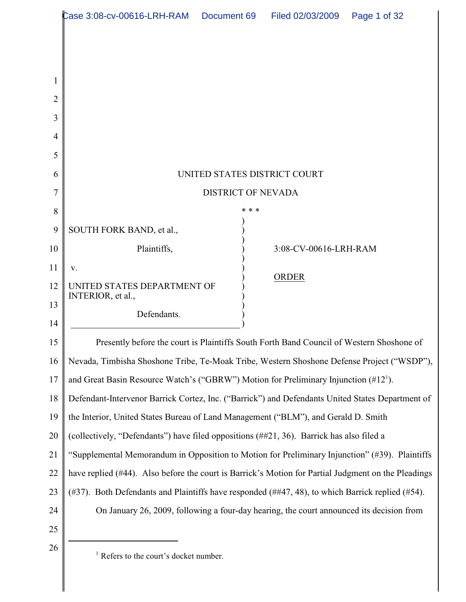|          | Case 3:08-cv-00616-LRH-RAM  Document 69  Filed 02/03/2009                                                |       |                       | Page 1 of 32 |  |
|----------|----------------------------------------------------------------------------------------------------------|-------|-----------------------|--------------|--|
|          |                                                                                                          |       |                       |              |  |
|          |                                                                                                          |       |                       |              |  |
|          |                                                                                                          |       |                       |              |  |
| 2        |                                                                                                          |       |                       |              |  |
| 3        |                                                                                                          |       |                       |              |  |
| 4        |                                                                                                          |       |                       |              |  |
| 5        |                                                                                                          |       |                       |              |  |
| 6        | UNITED STATES DISTRICT COURT                                                                             |       |                       |              |  |
| 7        | <b>DISTRICT OF NEVADA</b>                                                                                |       |                       |              |  |
| 8        |                                                                                                          | * * * |                       |              |  |
| 9        | SOUTH FORK BAND, et al.,                                                                                 |       |                       |              |  |
| 10       | Plaintiffs,                                                                                              |       | 3:08-CV-00616-LRH-RAM |              |  |
| 11       | V.                                                                                                       |       | <b>ORDER</b>          |              |  |
| 12       | UNITED STATES DEPARTMENT OF<br>INTERIOR, et al.,                                                         |       |                       |              |  |
| 13<br>14 | Defendants.                                                                                              |       |                       |              |  |
| 15       | Presently before the court is Plaintiffs South Forth Band Council of Western Shoshone of                 |       |                       |              |  |
| 16       | Nevada, Timbisha Shoshone Tribe, Te-Moak Tribe, Western Shoshone Defense Project ("WSDP"),               |       |                       |              |  |
| 17       | and Great Basin Resource Watch's ("GBRW") Motion for Preliminary Injunction $(\#12^1)$ .                 |       |                       |              |  |
| 18       | Defendant-Intervenor Barrick Cortez, Inc. ("Barrick") and Defendants United States Department of         |       |                       |              |  |
| 19       | the Interior, United States Bureau of Land Management ("BLM"), and Gerald D. Smith                       |       |                       |              |  |
| 20       | (collectively, "Defendants") have filed oppositions (##21, 36). Barrick has also filed a                 |       |                       |              |  |
| 21       | "Supplemental Memorandum in Opposition to Motion for Preliminary Injunction" (#39). Plaintiffs           |       |                       |              |  |
| 22       | have replied (#44). Also before the court is Barrick's Motion for Partial Judgment on the Pleadings      |       |                       |              |  |
| 23       | $(\#37)$ . Both Defendants and Plaintiffs have responded $(\#447, 48)$ , to which Barrick replied (#54). |       |                       |              |  |
| 24       | On January 26, 2009, following a four-day hearing, the court announced its decision from                 |       |                       |              |  |
| 25       |                                                                                                          |       |                       |              |  |
| 26       | <sup>1</sup> Refers to the court's docket number.                                                        |       |                       |              |  |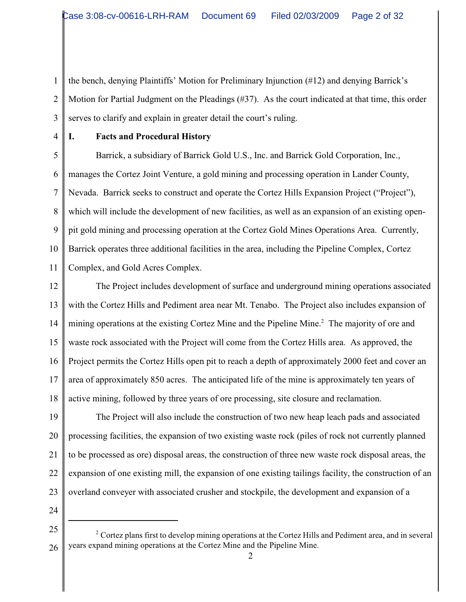1 2 3 the bench, denying Plaintiffs' Motion for Preliminary Injunction (#12) and denying Barrick's Motion for Partial Judgment on the Pleadings (#37). As the court indicated at that time, this order serves to clarify and explain in greater detail the court's ruling.

4

## **I. Facts and Procedural History**

5 6 7 8 9 10 11 Barrick, a subsidiary of Barrick Gold U.S., Inc. and Barrick Gold Corporation, Inc., manages the Cortez Joint Venture, a gold mining and processing operation in Lander County, Nevada. Barrick seeks to construct and operate the Cortez Hills Expansion Project ("Project"), which will include the development of new facilities, as well as an expansion of an existing openpit gold mining and processing operation at the Cortez Gold Mines Operations Area. Currently, Barrick operates three additional facilities in the area, including the Pipeline Complex, Cortez Complex, and Gold Acres Complex.

12 13 14 15 16 17 18 The Project includes development of surface and underground mining operations associated with the Cortez Hills and Pediment area near Mt. Tenabo. The Project also includes expansion of mining operations at the existing Cortez Mine and the Pipeline Mine.<sup>2</sup> The majority of ore and waste rock associated with the Project will come from the Cortez Hills area. As approved, the Project permits the Cortez Hills open pit to reach a depth of approximately 2000 feet and cover an area of approximately 850 acres. The anticipated life of the mine is approximately ten years of active mining, followed by three years of ore processing, site closure and reclamation.

19 20 21 22 23 The Project will also include the construction of two new heap leach pads and associated processing facilities, the expansion of two existing waste rock (piles of rock not currently planned to be processed as ore) disposal areas, the construction of three new waste rock disposal areas, the expansion of one existing mill, the expansion of one existing tailings facility, the construction of an overland conveyer with associated crusher and stockpile, the development and expansion of a

<sup>25</sup> 26 <sup>2</sup> Cortez plans first to develop mining operations at the Cortez Hills and Pediment area, and in several years expand mining operations at the Cortez Mine and the Pipeline Mine.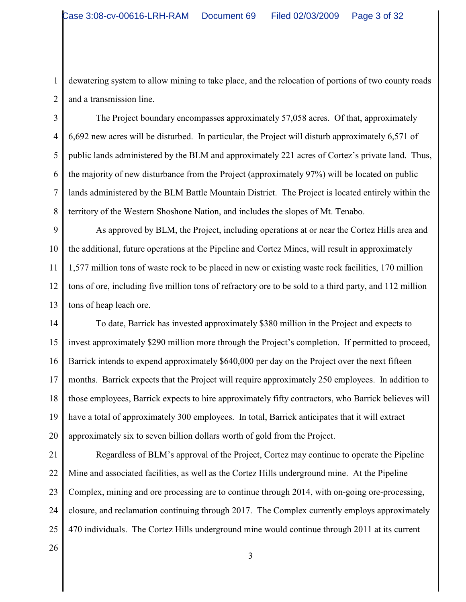1 2 dewatering system to allow mining to take place, and the relocation of portions of two county roads and a transmission line.

3 4 5 6 7 8 The Project boundary encompasses approximately 57,058 acres. Of that, approximately 6,692 new acres will be disturbed. In particular, the Project will disturb approximately 6,571 of public lands administered by the BLM and approximately 221 acres of Cortez's private land. Thus, the majority of new disturbance from the Project (approximately 97%) will be located on public lands administered by the BLM Battle Mountain District. The Project is located entirely within the territory of the Western Shoshone Nation, and includes the slopes of Mt. Tenabo.

9 10 11 12 13 As approved by BLM, the Project, including operations at or near the Cortez Hills area and the additional, future operations at the Pipeline and Cortez Mines, will result in approximately 1,577 million tons of waste rock to be placed in new or existing waste rock facilities, 170 million tons of ore, including five million tons of refractory ore to be sold to a third party, and 112 million tons of heap leach ore.

14 15 16 17 18 19 20 To date, Barrick has invested approximately \$380 million in the Project and expects to invest approximately \$290 million more through the Project's completion. If permitted to proceed, Barrick intends to expend approximately \$640,000 per day on the Project over the next fifteen months. Barrick expects that the Project will require approximately 250 employees. In addition to those employees, Barrick expects to hire approximately fifty contractors, who Barrick believes will have a total of approximately 300 employees. In total, Barrick anticipates that it will extract approximately six to seven billion dollars worth of gold from the Project.

21 22 23 24 25 Regardless of BLM's approval of the Project, Cortez may continue to operate the Pipeline Mine and associated facilities, as well as the Cortez Hills underground mine. At the Pipeline Complex, mining and ore processing are to continue through 2014, with on-going ore-processing, closure, and reclamation continuing through 2017. The Complex currently employs approximately 470 individuals. The Cortez Hills underground mine would continue through 2011 at its current

26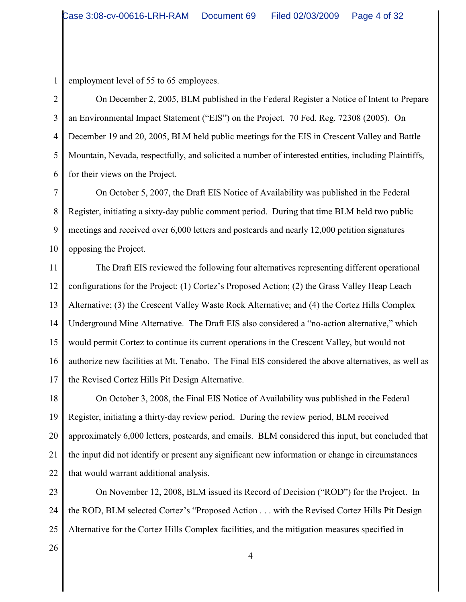1 employment level of 55 to 65 employees.

2 3 4 5 6 On December 2, 2005, BLM published in the Federal Register a Notice of Intent to Prepare an Environmental Impact Statement ("EIS") on the Project. 70 Fed. Reg. 72308 (2005). On December 19 and 20, 2005, BLM held public meetings for the EIS in Crescent Valley and Battle Mountain, Nevada, respectfully, and solicited a number of interested entities, including Plaintiffs, for their views on the Project.

7 8 9 10 On October 5, 2007, the Draft EIS Notice of Availability was published in the Federal Register, initiating a sixty-day public comment period. During that time BLM held two public meetings and received over 6,000 letters and postcards and nearly 12,000 petition signatures opposing the Project.

11 12 13 14 15 16 17 The Draft EIS reviewed the following four alternatives representing different operational configurations for the Project: (1) Cortez's Proposed Action; (2) the Grass Valley Heap Leach Alternative; (3) the Crescent Valley Waste Rock Alternative; and (4) the Cortez Hills Complex Underground Mine Alternative. The Draft EIS also considered a "no-action alternative," which would permit Cortez to continue its current operations in the Crescent Valley, but would not authorize new facilities at Mt. Tenabo. The Final EIS considered the above alternatives, as well as the Revised Cortez Hills Pit Design Alternative.

18 19 20 21 22 On October 3, 2008, the Final EIS Notice of Availability was published in the Federal Register, initiating a thirty-day review period. During the review period, BLM received approximately 6,000 letters, postcards, and emails. BLM considered this input, but concluded that the input did not identify or present any significant new information or change in circumstances that would warrant additional analysis.

23 24 25 On November 12, 2008, BLM issued its Record of Decision ("ROD") for the Project. In the ROD, BLM selected Cortez's "Proposed Action . . . with the Revised Cortez Hills Pit Design Alternative for the Cortez Hills Complex facilities, and the mitigation measures specified in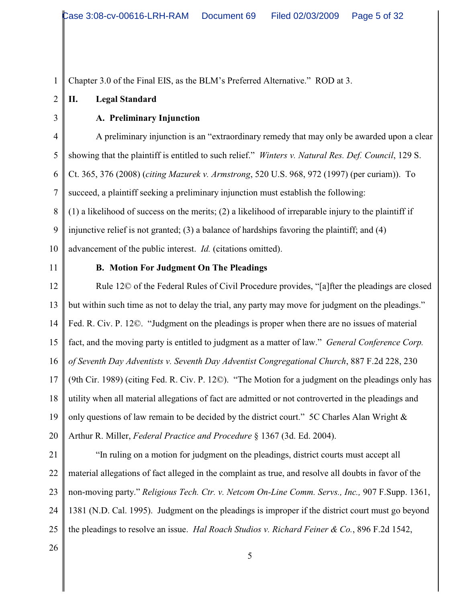Chapter 3.0 of the Final EIS, as the BLM's Preferred Alternative." ROD at 3.

# **II. Legal Standard**

# **A. Preliminary Injunction**

4 5 6 7 8 9 10 A preliminary injunction is an "extraordinary remedy that may only be awarded upon a clear showing that the plaintiff is entitled to such relief." *Winters v. Natural Res. Def. Council*, 129 S. Ct. 365, 376 (2008) (*citing Mazurek v. Armstrong*, 520 U.S. 968, 972 (1997) (per curiam)). To succeed, a plaintiff seeking a preliminary injunction must establish the following: (1) a likelihood of success on the merits; (2) a likelihood of irreparable injury to the plaintiff if injunctive relief is not granted; (3) a balance of hardships favoring the plaintiff; and (4) advancement of the public interest. *Id.* (citations omitted).

11

1

2

3

# **B. Motion For Judgment On The Pleadings**

12 13 14 15 16 17 18 19 20 Rule 12© of the Federal Rules of Civil Procedure provides, "[a]fter the pleadings are closed but within such time as not to delay the trial, any party may move for judgment on the pleadings." Fed. R. Civ. P. 12©. "Judgment on the pleadings is proper when there are no issues of material fact, and the moving party is entitled to judgment as a matter of law." *General Conference Corp. of Seventh Day Adventists v. Seventh Day Adventist Congregational Church*, 887 F.2d 228, 230 (9th Cir. 1989) (citing Fed. R. Civ. P. 12©). "The Motion for a judgment on the pleadings only has utility when all material allegations of fact are admitted or not controverted in the pleadings and only questions of law remain to be decided by the district court." 5C Charles Alan Wright & Arthur R. Miller, *Federal Practice and Procedure* § 1367 (3d. Ed. 2004).

21

22 23 24 25 "In ruling on a motion for judgment on the pleadings, district courts must accept all material allegations of fact alleged in the complaint as true, and resolve all doubts in favor of the non-moving party." *Religious Tech. Ctr. v. Netcom On-Line Comm. Servs., Inc.,* 907 F.Supp. 1361, 1381 (N.D. Cal. 1995). Judgment on the pleadings is improper if the district court must go beyond the pleadings to resolve an issue. *Hal Roach Studios v. Richard Feiner & Co.*, 896 F.2d 1542,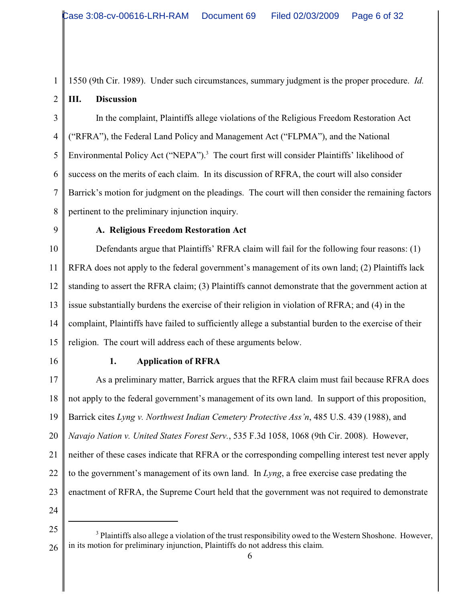1550 (9th Cir. 1989). Under such circumstances, summary judgment is the proper procedure. *Id.* **III. Discussion**

3 4 5 6 7 8 In the complaint, Plaintiffs allege violations of the Religious Freedom Restoration Act ("RFRA"), the Federal Land Policy and Management Act ("FLPMA"), and the National Environmental Policy Act ("NEPA").<sup>3</sup> The court first will consider Plaintiffs' likelihood of success on the merits of each claim. In its discussion of RFRA, the court will also consider Barrick's motion for judgment on the pleadings. The court will then consider the remaining factors pertinent to the preliminary injunction inquiry.

9

1

2

### **A. Religious Freedom Restoration Act**

10 11 12 13 14 15 Defendants argue that Plaintiffs' RFRA claim will fail for the following four reasons: (1) RFRA does not apply to the federal government's management of its own land; (2) Plaintiffs lack standing to assert the RFRA claim; (3) Plaintiffs cannot demonstrate that the government action at issue substantially burdens the exercise of their religion in violation of RFRA; and (4) in the complaint, Plaintiffs have failed to sufficiently allege a substantial burden to the exercise of their religion. The court will address each of these arguments below.

16

# **1. Application of RFRA**

17 18 19 20 21 22 23 As a preliminary matter, Barrick argues that the RFRA claim must fail because RFRA does not apply to the federal government's management of its own land. In support of this proposition, Barrick cites *Lyng v. Northwest Indian Cemetery Protective Ass'n*, 485 U.S. 439 (1988), and *Navajo Nation v. United States Forest Serv.*, 535 F.3d 1058, 1068 (9th Cir. 2008). However, neither of these cases indicate that RFRA or the corresponding compelling interest test never apply to the government's management of its own land. In *Lyng*, a free exercise case predating the enactment of RFRA, the Supreme Court held that the government was not required to demonstrate

<sup>25</sup> 26  $3$  Plaintiffs also allege a violation of the trust responsibility owed to the Western Shoshone. However, in its motion for preliminary injunction, Plaintiffs do not address this claim.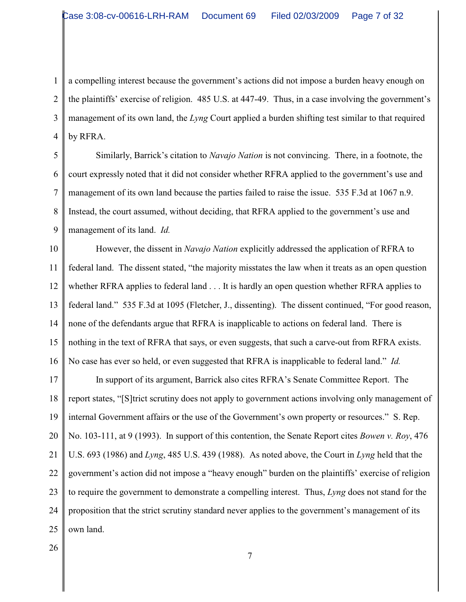1 2 3 4 a compelling interest because the government's actions did not impose a burden heavy enough on the plaintiffs' exercise of religion. 485 U.S. at 447-49. Thus, in a case involving the government's management of its own land, the *Lyng* Court applied a burden shifting test similar to that required by RFRA.

5 6 7 8 9 Similarly, Barrick's citation to *Navajo Nation* is not convincing. There, in a footnote, the court expressly noted that it did not consider whether RFRA applied to the government's use and management of its own land because the parties failed to raise the issue. 535 F.3d at 1067 n.9. Instead, the court assumed, without deciding, that RFRA applied to the government's use and management of its land. *Id.* 

10 11 12 13 14 15 16 However, the dissent in *Navajo Nation* explicitly addressed the application of RFRA to federal land. The dissent stated, "the majority misstates the law when it treats as an open question whether RFRA applies to federal land . . . It is hardly an open question whether RFRA applies to federal land." 535 F.3d at 1095 (Fletcher, J., dissenting). The dissent continued, "For good reason, none of the defendants argue that RFRA is inapplicable to actions on federal land. There is nothing in the text of RFRA that says, or even suggests, that such a carve-out from RFRA exists. No case has ever so held, or even suggested that RFRA is inapplicable to federal land." *Id.*

17 18 19 20 21 22 23 24 25 In support of its argument, Barrick also cites RFRA's Senate Committee Report. The report states, "[S]trict scrutiny does not apply to government actions involving only management of internal Government affairs or the use of the Government's own property or resources." S. Rep. No. 103-111, at 9 (1993). In support of this contention, the Senate Report cites *Bowen v. Roy*, 476 U.S. 693 (1986) and *Lyng*, 485 U.S. 439 (1988). As noted above, the Court in *Lyng* held that the government's action did not impose a "heavy enough" burden on the plaintiffs' exercise of religion to require the government to demonstrate a compelling interest. Thus, *Lyng* does not stand for the proposition that the strict scrutiny standard never applies to the government's management of its own land.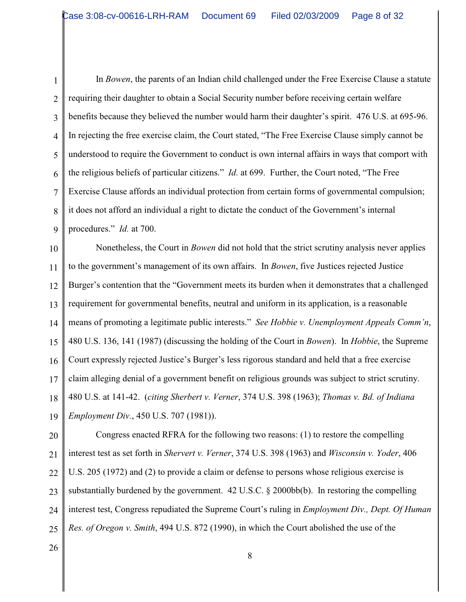1 2 3 4 5 6 7 8 9 In *Bowen*, the parents of an Indian child challenged under the Free Exercise Clause a statute requiring their daughter to obtain a Social Security number before receiving certain welfare benefits because they believed the number would harm their daughter's spirit. 476 U.S. at 695-96. In rejecting the free exercise claim, the Court stated, "The Free Exercise Clause simply cannot be understood to require the Government to conduct is own internal affairs in ways that comport with the religious beliefs of particular citizens." *Id.* at 699. Further, the Court noted, "The Free Exercise Clause affords an individual protection from certain forms of governmental compulsion; it does not afford an individual a right to dictate the conduct of the Government's internal procedures." *Id.* at 700.

10 11 12 13 14 15 16 17 18 19 Nonetheless, the Court in *Bowen* did not hold that the strict scrutiny analysis never applies to the government's management of its own affairs. In *Bowen*, five Justices rejected Justice Burger's contention that the "Government meets its burden when it demonstrates that a challenged requirement for governmental benefits, neutral and uniform in its application, is a reasonable means of promoting a legitimate public interests." *See Hobbie v. Unemployment Appeals Comm'n*, 480 U.S. 136, 141 (1987) (discussing the holding of the Court in *Bowen*). In *Hobbie*, the Supreme Court expressly rejected Justice's Burger's less rigorous standard and held that a free exercise claim alleging denial of a government benefit on religious grounds was subject to strict scrutiny. 480 U.S. at 141-42. (*citing Sherbert v. Verner*, 374 U.S. 398 (1963); *Thomas v. Bd. of Indiana Employment Div.*, 450 U.S. 707 (1981)).

20 21 22 23 24 25 Congress enacted RFRA for the following two reasons: (1) to restore the compelling interest test as set forth in *Shervert v. Verner*, 374 U.S. 398 (1963) and *Wisconsin v. Yoder*, 406 U.S. 205 (1972) and (2) to provide a claim or defense to persons whose religious exercise is substantially burdened by the government.  $42 \text{ U.S.C.}$  §  $2000 \text{bb(b)}$ . In restoring the compelling interest test, Congress repudiated the Supreme Court's ruling in *Employment Div., Dept. Of Human Res. of Oregon v. Smith*, 494 U.S. 872 (1990), in which the Court abolished the use of the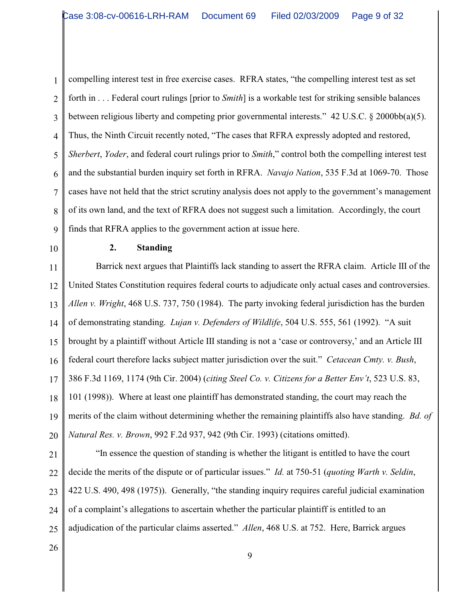1 2 3 4 5 6 7 8 9 compelling interest test in free exercise cases. RFRA states, "the compelling interest test as set forth in . . . Federal court rulings [prior to *Smith*] is a workable test for striking sensible balances between religious liberty and competing prior governmental interests." 42 U.S.C. § 2000bb(a)(5). Thus, the Ninth Circuit recently noted, "The cases that RFRA expressly adopted and restored, *Sherbert*, *Yoder*, and federal court rulings prior to *Smith*," control both the compelling interest test and the substantial burden inquiry set forth in RFRA. *Navajo Nation*, 535 F.3d at 1069-70. Those cases have not held that the strict scrutiny analysis does not apply to the government's management of its own land, and the text of RFRA does not suggest such a limitation. Accordingly, the court finds that RFRA applies to the government action at issue here.

10

### **2. Standing**

11 12 13 14 15 16 17 18 19 20 Barrick next argues that Plaintiffs lack standing to assert the RFRA claim. Article III of the United States Constitution requires federal courts to adjudicate only actual cases and controversies. *Allen v. Wright*, 468 U.S. 737, 750 (1984). The party invoking federal jurisdiction has the burden of demonstrating standing. *Lujan v. Defenders of Wildlife*, 504 U.S. 555, 561 (1992). "A suit brought by a plaintiff without Article III standing is not a 'case or controversy,' and an Article III federal court therefore lacks subject matter jurisdiction over the suit." *Cetacean Cmty. v. Bush*, 386 F.3d 1169, 1174 (9th Cir. 2004) (*citing Steel Co. v. Citizens for a Better Env't*, 523 U.S. 83, 101 (1998)). Where at least one plaintiff has demonstrated standing, the court may reach the merits of the claim without determining whether the remaining plaintiffs also have standing. *Bd. of Natural Res. v. Brown*, 992 F.2d 937, 942 (9th Cir. 1993) (citations omitted).

21

22 23 24 25 "In essence the question of standing is whether the litigant is entitled to have the court decide the merits of the dispute or of particular issues." *Id.* at 750-51 (*quoting Warth v. Seldin*, 422 U.S. 490, 498 (1975)). Generally, "the standing inquiry requires careful judicial examination of a complaint's allegations to ascertain whether the particular plaintiff is entitled to an adjudication of the particular claims asserted." *Allen*, 468 U.S. at 752. Here, Barrick argues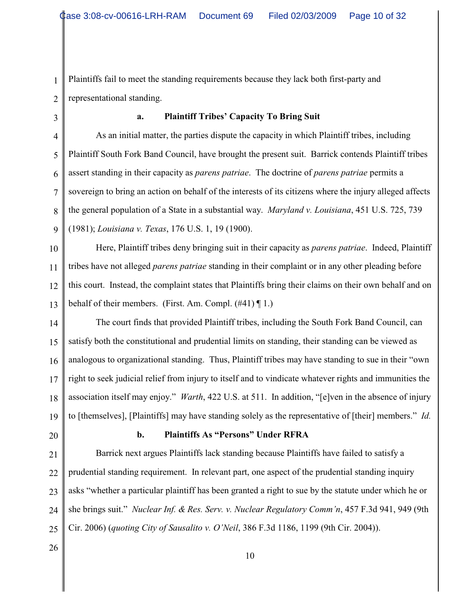1 2 Plaintiffs fail to meet the standing requirements because they lack both first-party and representational standing.

3

#### **a. Plaintiff Tribes' Capacity To Bring Suit**

4 5 6 8 As an initial matter, the parties dispute the capacity in which Plaintiff tribes, including Plaintiff South Fork Band Council, have brought the present suit. Barrick contends Plaintiff tribes assert standing in their capacity as *parens patriae*. The doctrine of *parens patriae* permits a sovereign to bring an action on behalf of the interests of its citizens where the injury alleged affects the general population of a State in a substantial way. *Maryland v. Louisiana*, 451 U.S. 725, 739 (1981); *Louisiana v. Texas*, 176 U.S. 1, 19 (1900).

10

9

7

11 12 13 Here, Plaintiff tribes deny bringing suit in their capacity as *parens patriae*. Indeed, Plaintiff tribes have not alleged *parens patriae* standing in their complaint or in any other pleading before this court. Instead, the complaint states that Plaintiffs bring their claims on their own behalf and on behalf of their members. (First. Am. Compl.  $(\#41) \P 1$ .)

14 15 16 17 18 19 The court finds that provided Plaintiff tribes, including the South Fork Band Council, can satisfy both the constitutional and prudential limits on standing, their standing can be viewed as analogous to organizational standing. Thus, Plaintiff tribes may have standing to sue in their "own right to seek judicial relief from injury to itself and to vindicate whatever rights and immunities the association itself may enjoy." *Warth*, 422 U.S. at 511. In addition, "[e]ven in the absence of injury to [themselves], [Plaintiffs] may have standing solely as the representative of [their] members." *Id.*

20

# **b. Plaintiffs As "Persons" Under RFRA**

21 22 23 24 25 Barrick next argues Plaintiffs lack standing because Plaintiffs have failed to satisfy a prudential standing requirement. In relevant part, one aspect of the prudential standing inquiry asks "whether a particular plaintiff has been granted a right to sue by the statute under which he or she brings suit." *Nuclear Inf. & Res. Serv. v. Nuclear Regulatory Comm'n*, 457 F.3d 941, 949 (9th Cir. 2006) (*quoting City of Sausalito v. O'Neil*, 386 F.3d 1186, 1199 (9th Cir. 2004)).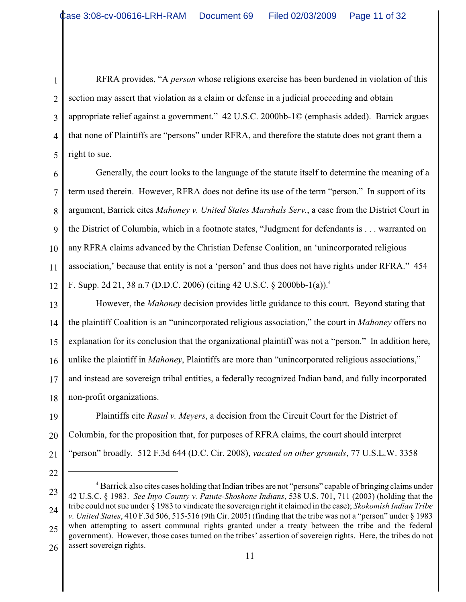1 2 3 4 5 RFRA provides, "A *person* whose religions exercise has been burdened in violation of this section may assert that violation as a claim or defense in a judicial proceeding and obtain appropriate relief against a government." 42 U.S.C. 2000bb-1© (emphasis added). Barrick argues that none of Plaintiffs are "persons" under RFRA, and therefore the statute does not grant them a right to sue.

6 7 8 9 10 11 12 Generally, the court looks to the language of the statute itself to determine the meaning of a term used therein. However, RFRA does not define its use of the term "person." In support of its argument, Barrick cites *Mahoney v. United States Marshals Serv.*, a case from the District Court in the District of Columbia, which in a footnote states, "Judgment for defendants is . . . warranted on any RFRA claims advanced by the Christian Defense Coalition, an 'unincorporated religious association,' because that entity is not a 'person' and thus does not have rights under RFRA." 454 F. Supp. 2d 21, 38 n.7 (D.D.C. 2006) (citing 42 U.S.C. § 2000bb-1(a)).<sup>4</sup>

13 14 15 16 17 18 However, the *Mahoney* decision provides little guidance to this court. Beyond stating that the plaintiff Coalition is an "unincorporated religious association," the court in *Mahoney* offers no explanation for its conclusion that the organizational plaintiff was not a "person." In addition here, unlike the plaintiff in *Mahoney*, Plaintiffs are more than "unincorporated religious associations," and instead are sovereign tribal entities, a federally recognized Indian band, and fully incorporated non-profit organizations.

19 20 21 Plaintiffs cite *Rasul v. Meyers*, a decision from the Circuit Court for the District of Columbia, for the proposition that, for purposes of RFRA claims, the court should interpret "person" broadly. 512 F.3d 644 (D.C. Cir. 2008), *vacated on other grounds*, 77 U.S.L.W. 3358

<sup>23</sup> 24 25 26 <sup>4</sup> Barrick also cites cases holding that Indian tribes are not "persons" capable of bringing claims under 42 U.S.C. § 1983. *See Inyo County v. Paiute-Shoshone Indians*, 538 U.S. 701, 711 (2003) (holding that the tribe could not sue under § 1983 to vindicate the sovereign right it claimed in the case); *Skokomish Indian Tribe v. United States*, 410 F.3d 506, 515-516 (9th Cir. 2005) (finding that the tribe was not a "person" under § 1983 when attempting to assert communal rights granted under a treaty between the tribe and the federal government). However, those cases turned on the tribes' assertion of sovereign rights. Here, the tribes do not assert sovereign rights.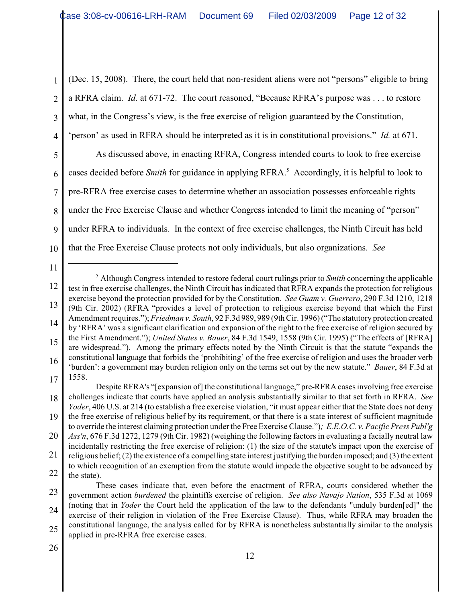2 (Dec. 15, 2008). There, the court held that non-resident aliens were not "persons" eligible to bring a RFRA claim. *Id.* at 671-72. The court reasoned, "Because RFRA's purpose was . . . to restore what, in the Congress's view, is the free exercise of religion guaranteed by the Constitution, 'person' as used in RFRA should be interpreted as it is in constitutional provisions." *Id.* at 671.

5 6 7 8 9 10 As discussed above, in enacting RFRA, Congress intended courts to look to free exercise cases decided before *Smith* for guidance in applying RFRA.<sup>5</sup> Accordingly, it is helpful to look to pre-RFRA free exercise cases to determine whether an association possesses enforceable rights under the Free Exercise Clause and whether Congress intended to limit the meaning of "person" under RFRA to individuals. In the context of free exercise challenges, the Ninth Circuit has held that the Free Exercise Clause protects not only individuals, but also organizations. *See*

11

1

3

<sup>12</sup> 13 14 15 16 17 <sup>5</sup> Although Congress intended to restore federal court rulings prior to *Smith* concerning the applicable test in free exercise challenges, the Ninth Circuit has indicated that RFRA expands the protection for religious exercise beyond the protection provided for by the Constitution. *See Guam v. Guerrero*, 290 F.3d 1210, 1218 (9th Cir. 2002) (RFRA "provides a level of protection to religious exercise beyond that which the First Amendment requires."); *Friedman v. South*, 92 F.3d 989, 989 (9th Cir. 1996) ("The statutory protection created by 'RFRA' was a significant clarification and expansion of the right to the free exercise of religion secured by the First Amendment."); *United States v. Bauer*, 84 F.3d 1549, 1558 (9th Cir. 1995) ("The effects of [RFRA] are widespread."). Among the primary effects noted by the Ninth Circuit is that the statute "expands the constitutional language that forbids the 'prohibiting' of the free exercise of religion and uses the broader verb 'burden': a government may burden religion only on the terms set out by the new statute." *Bauer*, 84 F.3d at 1558.

<sup>18</sup> 19 Despite RFRA's "[expansion of] the constitutional language," pre-RFRA cases involving free exercise challenges indicate that courts have applied an analysis substantially similar to that set forth in RFRA. *See Yoder*, 406 U.S. at 214 (to establish a free exercise violation, "it must appear either that the State does not deny the free exercise of religious belief by its requirement, or that there is a state interest of sufficient magnitude to override the interest claiming protection under the Free Exercise Clause.")*; E.E.O.C. v. Pacific Press Publ'g*

<sup>20</sup> 21 *Ass'n*, 676 F.3d 1272, 1279 (9th Cir. 1982) (weighing the following factors in evaluating a facially neutral law incidentally restricting the free exercise of religion: (1) the size of the statute's impact upon the exercise of religious belief; (2) the existence of a compelling state interest justifying the burden imposed; and (3) the extent

<sup>22</sup> to which recognition of an exemption from the statute would impede the objective sought to be advanced by the state).

<sup>23</sup> 24 25 These cases indicate that, even before the enactment of RFRA, courts considered whether the government action *burdened* the plaintiffs exercise of religion. *See also Navajo Nation*, 535 F.3d at 1069 (noting that in *Yoder* the Court held the application of the law to the defendants "unduly burden[ed]" the exercise of their religion in violation of the Free Exercise Clause). Thus, while RFRA may broaden the constitutional language, the analysis called for by RFRA is nonetheless substantially similar to the analysis applied in pre-RFRA free exercise cases.

<sup>26</sup>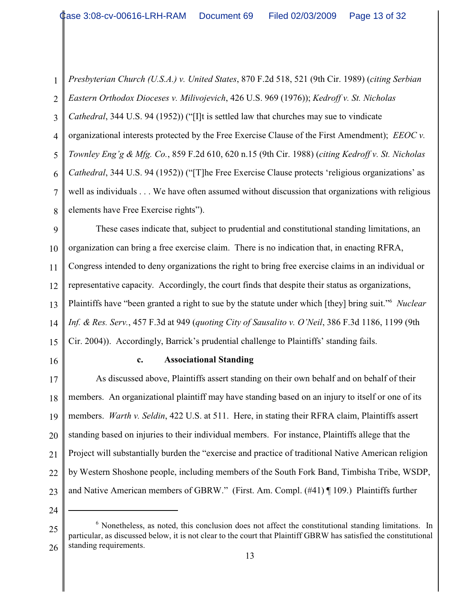1 2 3 4 5 6 7 8 *Presbyterian Church (U.S.A.) v. United States*, 870 F.2d 518, 521 (9th Cir. 1989) (*citing Serbian Eastern Orthodox Dioceses v. Milivojevich*, 426 U.S. 969 (1976)); *Kedroff v. St. Nicholas Cathedral*, 344 U.S. 94 (1952)) ("[I]t is settled law that churches may sue to vindicate organizational interests protected by the Free Exercise Clause of the First Amendment); *EEOC v. Townley Eng'g & Mfg. Co.*, 859 F.2d 610, 620 n.15 (9th Cir. 1988) (*citing Kedroff v. St. Nicholas Cathedral*, 344 U.S. 94 (1952)) ("[T]he Free Exercise Clause protects 'religious organizations' as well as individuals . . . We have often assumed without discussion that organizations with religious elements have Free Exercise rights").

9 10 11 12 13 14 15 These cases indicate that, subject to prudential and constitutional standing limitations, an organization can bring a free exercise claim. There is no indication that, in enacting RFRA, Congress intended to deny organizations the right to bring free exercise claims in an individual or representative capacity. Accordingly, the court finds that despite their status as organizations, Plaintiffs have "been granted a right to sue by the statute under which [they] bring suit."<sup>6</sup> Nuclear *Inf. & Res. Serv.*, 457 F.3d at 949 (*quoting City of Sausalito v. O'Neil*, 386 F.3d 1186, 1199 (9th Cir. 2004)). Accordingly, Barrick's prudential challenge to Plaintiffs' standing fails.

16

### **c. Associational Standing**

17 18 19 20 21 22 23 As discussed above, Plaintiffs assert standing on their own behalf and on behalf of their members. An organizational plaintiff may have standing based on an injury to itself or one of its members. *Warth v. Seldin*, 422 U.S. at 511. Here, in stating their RFRA claim, Plaintiffs assert standing based on injuries to their individual members. For instance, Plaintiffs allege that the Project will substantially burden the "exercise and practice of traditional Native American religion by Western Shoshone people, including members of the South Fork Band, Timbisha Tribe, WSDP, and Native American members of GBRW." (First. Am. Compl. (#41) ¶ 109.) Plaintiffs further

<sup>25</sup> 26  $6$  Nonetheless, as noted, this conclusion does not affect the constitutional standing limitations. In particular, as discussed below, it is not clear to the court that Plaintiff GBRW has satisfied the constitutional standing requirements.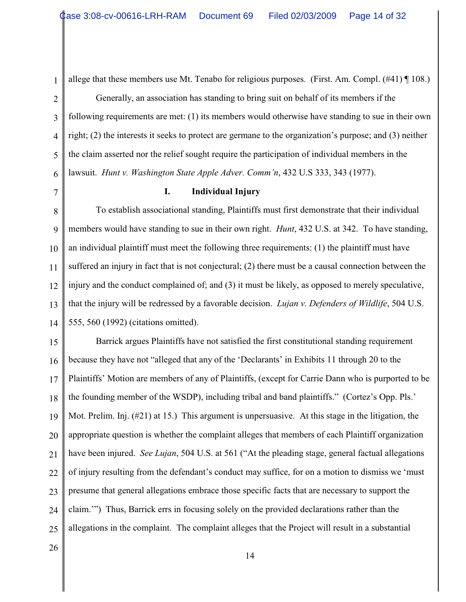1

allege that these members use Mt. Tenabo for religious purposes. (First. Am. Compl. (#41) ¶ 108.)

Generally, an association has standing to bring suit on behalf of its members if the following requirements are met: (1) its members would otherwise have standing to sue in their own right; (2) the interests it seeks to protect are germane to the organization's purpose; and (3) neither the claim asserted nor the relief sought require the participation of individual members in the lawsuit. *Hunt v. Washington State Apple Adver. Comm'n*, 432 U.S 333, 343 (1977).

**I. Individual Injury**

8 9 10 11 12 13 14 To establish associational standing, Plaintiffs must first demonstrate that their individual members would have standing to sue in their own right. *Hunt*, 432 U.S. at 342. To have standing, an individual plaintiff must meet the following three requirements: (1) the plaintiff must have suffered an injury in fact that is not conjectural; (2) there must be a causal connection between the injury and the conduct complained of; and (3) it must be likely, as opposed to merely speculative, that the injury will be redressed by a favorable decision. *Lujan v. Defenders of Wildlife*, 504 U.S. 555, 560 (1992) (citations omitted).

15 16 17 18 19 20 21 22 23 24 25 Barrick argues Plaintiffs have not satisfied the first constitutional standing requirement because they have not "alleged that any of the 'Declarants' in Exhibits 11 through 20 to the Plaintiffs' Motion are members of any of Plaintiffs, (except for Carrie Dann who is purported to be the founding member of the WSDP), including tribal and band plaintiffs." (Cortez's Opp. Pls.' Mot. Prelim. Inj. (#21) at 15.) This argument is unpersuasive. At this stage in the litigation, the appropriate question is whether the complaint alleges that members of each Plaintiff organization have been injured. *See Lujan*, 504 U.S. at 561 ("At the pleading stage, general factual allegations of injury resulting from the defendant's conduct may suffice, for on a motion to dismiss we 'must presume that general allegations embrace those specific facts that are necessary to support the claim.'") Thus, Barrick errs in focusing solely on the provided declarations rather than the allegations in the complaint. The complaint alleges that the Project will result in a substantial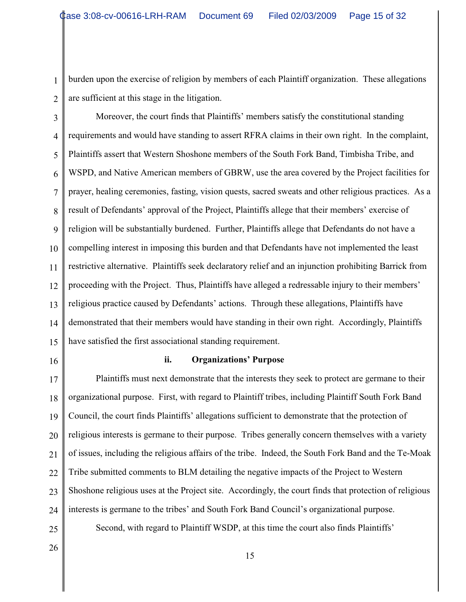burden upon the exercise of religion by members of each Plaintiff organization. These allegations are sufficient at this stage in the litigation.

3 4 5 6 7 8 9 10 11 12 13 14 15 Moreover, the court finds that Plaintiffs' members satisfy the constitutional standing requirements and would have standing to assert RFRA claims in their own right. In the complaint, Plaintiffs assert that Western Shoshone members of the South Fork Band, Timbisha Tribe, and WSPD, and Native American members of GBRW, use the area covered by the Project facilities for prayer, healing ceremonies, fasting, vision quests, sacred sweats and other religious practices. As a result of Defendants' approval of the Project, Plaintiffs allege that their members' exercise of religion will be substantially burdened. Further, Plaintiffs allege that Defendants do not have a compelling interest in imposing this burden and that Defendants have not implemented the least restrictive alternative. Plaintiffs seek declaratory relief and an injunction prohibiting Barrick from proceeding with the Project. Thus, Plaintiffs have alleged a redressable injury to their members' religious practice caused by Defendants' actions. Through these allegations, Plaintiffs have demonstrated that their members would have standing in their own right. Accordingly, Plaintiffs have satisfied the first associational standing requirement.

16

1

2

#### **ii. Organizations' Purpose**

17 18 19 20 21 22 23 24 25 Plaintiffs must next demonstrate that the interests they seek to protect are germane to their organizational purpose. First, with regard to Plaintiff tribes, including Plaintiff South Fork Band Council, the court finds Plaintiffs' allegations sufficient to demonstrate that the protection of religious interests is germane to their purpose. Tribes generally concern themselves with a variety of issues, including the religious affairs of the tribe. Indeed, the South Fork Band and the Te-Moak Tribe submitted comments to BLM detailing the negative impacts of the Project to Western Shoshone religious uses at the Project site. Accordingly, the court finds that protection of religious interests is germane to the tribes' and South Fork Band Council's organizational purpose. Second, with regard to Plaintiff WSDP, at this time the court also finds Plaintiffs'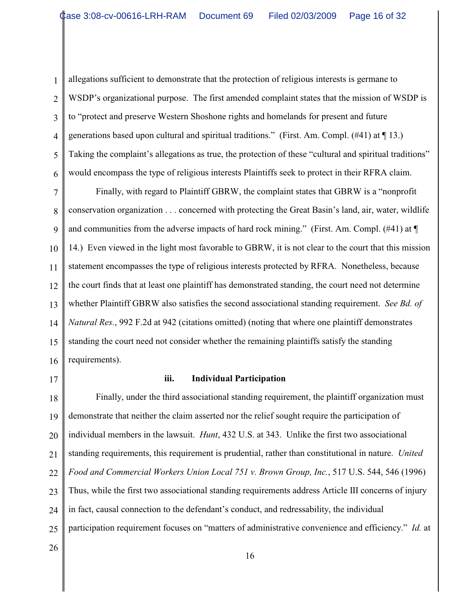1 2 3 4 5 6 allegations sufficient to demonstrate that the protection of religious interests is germane to WSDP's organizational purpose. The first amended complaint states that the mission of WSDP is to "protect and preserve Western Shoshone rights and homelands for present and future generations based upon cultural and spiritual traditions." (First. Am. Compl. (#41) at ¶ 13.) Taking the complaint's allegations as true, the protection of these "cultural and spiritual traditions" would encompass the type of religious interests Plaintiffs seek to protect in their RFRA claim.

7 8 9 10 11 12 13 14 15 16 Finally, with regard to Plaintiff GBRW, the complaint states that GBRW is a "nonprofit conservation organization . . . concerned with protecting the Great Basin's land, air, water, wildlife and communities from the adverse impacts of hard rock mining." (First. Am. Compl. (#41) at ¶ 14.) Even viewed in the light most favorable to GBRW, it is not clear to the court that this mission statement encompasses the type of religious interests protected by RFRA. Nonetheless, because the court finds that at least one plaintiff has demonstrated standing, the court need not determine whether Plaintiff GBRW also satisfies the second associational standing requirement. *See Bd. of Natural Res.*, 992 F.2d at 942 (citations omitted) (noting that where one plaintiff demonstrates standing the court need not consider whether the remaining plaintiffs satisfy the standing requirements).

17

#### **iii. Individual Participation**

18 19 20 21 22 23 24 25 Finally, under the third associational standing requirement, the plaintiff organization must demonstrate that neither the claim asserted nor the relief sought require the participation of individual members in the lawsuit. *Hunt*, 432 U.S. at 343. Unlike the first two associational standing requirements, this requirement is prudential, rather than constitutional in nature. *United Food and Commercial Workers Union Local 751 v. Brown Group, Inc.*, 517 U.S. 544, 546 (1996) Thus, while the first two associational standing requirements address Article III concerns of injury in fact, causal connection to the defendant's conduct, and redressability, the individual participation requirement focuses on "matters of administrative convenience and efficiency." *Id.* at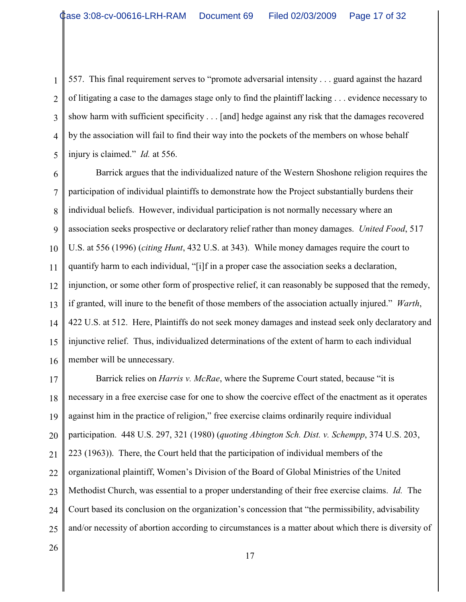1 2 3 4 5 557. This final requirement serves to "promote adversarial intensity . . . guard against the hazard of litigating a case to the damages stage only to find the plaintiff lacking . . . evidence necessary to show harm with sufficient specificity . . . [and] hedge against any risk that the damages recovered by the association will fail to find their way into the pockets of the members on whose behalf injury is claimed." *Id.* at 556.

6 7 8 9 10 11 12 13 14 15 16 Barrick argues that the individualized nature of the Western Shoshone religion requires the participation of individual plaintiffs to demonstrate how the Project substantially burdens their individual beliefs. However, individual participation is not normally necessary where an association seeks prospective or declaratory relief rather than money damages. *United Food*, 517 U.S. at 556 (1996) (*citing Hunt*, 432 U.S. at 343). While money damages require the court to quantify harm to each individual, "[i]f in a proper case the association seeks a declaration, injunction, or some other form of prospective relief, it can reasonably be supposed that the remedy, if granted, will inure to the benefit of those members of the association actually injured." *Warth*, 422 U.S. at 512.Here, Plaintiffs do not seek money damages and instead seek only declaratory and injunctive relief. Thus, individualized determinations of the extent of harm to each individual member will be unnecessary.

17 18 19 20 21 22 23 24 25 Barrick relies on *Harris v. McRae*, where the Supreme Court stated, because "it is necessary in a free exercise case for one to show the coercive effect of the enactment as it operates against him in the practice of religion," free exercise claims ordinarily require individual participation. 448 U.S. 297, 321 (1980) (*quoting Abington Sch. Dist. v. Schempp*, 374 U.S. 203, 223 (1963)). There, the Court held that the participation of individual members of the organizational plaintiff, Women's Division of the Board of Global Ministries of the United Methodist Church, was essential to a proper understanding of their free exercise claims. *Id.* The Court based its conclusion on the organization's concession that "the permissibility, advisability and/or necessity of abortion according to circumstances is a matter about which there is diversity of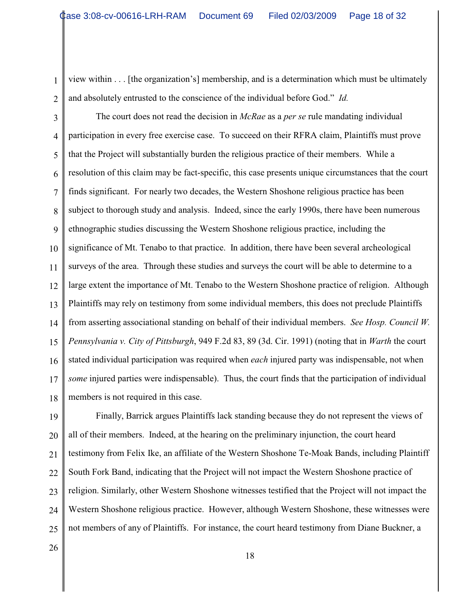1 2 view within . . . [the organization's] membership, and is a determination which must be ultimately and absolutely entrusted to the conscience of the individual before God." *Id.* 

3 4 5 6 7 8 9 10 11 12 13 14 15 16 17 18 The court does not read the decision in *McRae* as a *per se* rule mandating individual participation in every free exercise case. To succeed on their RFRA claim, Plaintiffs must prove that the Project will substantially burden the religious practice of their members. While a resolution of this claim may be fact-specific, this case presents unique circumstances that the court finds significant. For nearly two decades, the Western Shoshone religious practice has been subject to thorough study and analysis. Indeed, since the early 1990s, there have been numerous ethnographic studies discussing the Western Shoshone religious practice, including the significance of Mt. Tenabo to that practice. In addition, there have been several archeological surveys of the area. Through these studies and surveys the court will be able to determine to a large extent the importance of Mt. Tenabo to the Western Shoshone practice of religion. Although Plaintiffs may rely on testimony from some individual members, this does not preclude Plaintiffs from asserting associational standing on behalf of their individual members. *See Hosp. Council W. Pennsylvania v. City of Pittsburgh*, 949 F.2d 83, 89 (3d. Cir. 1991) (noting that in *Warth* the court stated individual participation was required when *each* injured party was indispensable, not when *some* injured parties were indispensable). Thus, the court finds that the participation of individual members is not required in this case.

19 20 21 22 23 24 25 Finally, Barrick argues Plaintiffs lack standing because they do not represent the views of all of their members. Indeed, at the hearing on the preliminary injunction, the court heard testimony from Felix Ike, an affiliate of the Western Shoshone Te-Moak Bands, including Plaintiff South Fork Band, indicating that the Project will not impact the Western Shoshone practice of religion. Similarly, other Western Shoshone witnesses testified that the Project will not impact the Western Shoshone religious practice. However, although Western Shoshone, these witnesses were not members of any of Plaintiffs. For instance, the court heard testimony from Diane Buckner, a

26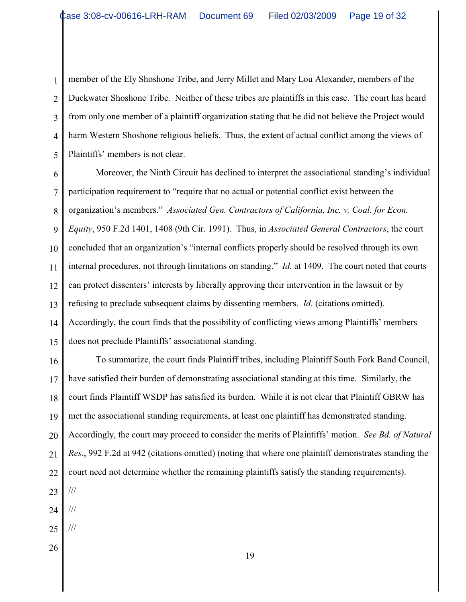1 2 3 4 5 member of the Ely Shoshone Tribe, and Jerry Millet and Mary Lou Alexander, members of the Duckwater Shoshone Tribe. Neither of these tribes are plaintiffs in this case. The court has heard from only one member of a plaintiff organization stating that he did not believe the Project would harm Western Shoshone religious beliefs. Thus, the extent of actual conflict among the views of Plaintiffs' members is not clear.

6 7 8 9 10 11 12 13 14 15 Moreover, the Ninth Circuit has declined to interpret the associational standing's individual participation requirement to "require that no actual or potential conflict exist between the organization's members." *Associated Gen. Contractors of California, Inc. v. Coal. for Econ. Equity*, 950 F.2d 1401, 1408 (9th Cir. 1991). Thus, in *Associated General Contractors*, the court concluded that an organization's "internal conflicts properly should be resolved through its own internal procedures, not through limitations on standing." *Id.* at 1409. The court noted that courts can protect dissenters' interests by liberally approving their intervention in the lawsuit or by refusing to preclude subsequent claims by dissenting members. *Id.* (citations omitted). Accordingly, the court finds that the possibility of conflicting views among Plaintiffs' members does not preclude Plaintiffs' associational standing.

16 17 18 19 20 21 22 23 24 25 To summarize, the court finds Plaintiff tribes, including Plaintiff South Fork Band Council, have satisfied their burden of demonstrating associational standing at this time. Similarly, the court finds Plaintiff WSDP has satisfied its burden. While it is not clear that Plaintiff GBRW has met the associational standing requirements, at least one plaintiff has demonstrated standing. Accordingly, the court may proceed to consider the merits of Plaintiffs' motion. *See Bd. of Natural Res.*, 992 F.2d at 942 (citations omitted) (noting that where one plaintiff demonstrates standing the court need not determine whether the remaining plaintiffs satisfy the standing requirements). /// /// ///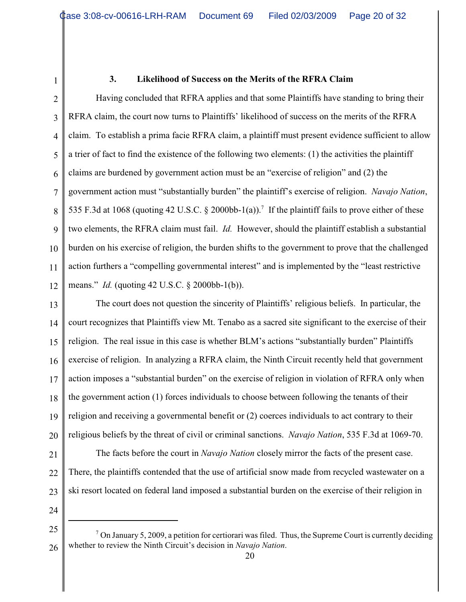1

#### **3. Likelihood of Success on the Merits of the RFRA Claim**

2 3 4 5 6 7 8 9 10 11 12 Having concluded that RFRA applies and that some Plaintiffs have standing to bring their RFRA claim, the court now turns to Plaintiffs' likelihood of success on the merits of the RFRA claim. To establish a prima facie RFRA claim, a plaintiff must present evidence sufficient to allow a trier of fact to find the existence of the following two elements: (1) the activities the plaintiff claims are burdened by government action must be an "exercise of religion" and (2) the government action must "substantially burden" the plaintiff's exercise of religion. *Navajo Nation*, 535 F.3d at 1068 (quoting 42 U.S.C. § 2000bb-1(a)).<sup>7</sup> If the plaintiff fails to prove either of these two elements, the RFRA claim must fail. *Id.* However, should the plaintiff establish a substantial burden on his exercise of religion, the burden shifts to the government to prove that the challenged action furthers a "compelling governmental interest" and is implemented by the "least restrictive means." *Id.* (quoting 42 U.S.C. § 2000bb-1(b)).

13 14 15 16 17 18 19 20 The court does not question the sincerity of Plaintiffs' religious beliefs. In particular, the court recognizes that Plaintiffs view Mt. Tenabo as a sacred site significant to the exercise of their religion. The real issue in this case is whether BLM's actions "substantially burden" Plaintiffs exercise of religion. In analyzing a RFRA claim, the Ninth Circuit recently held that government action imposes a "substantial burden" on the exercise of religion in violation of RFRA only when the government action (1) forces individuals to choose between following the tenants of their religion and receiving a governmental benefit or (2) coerces individuals to act contrary to their religious beliefs by the threat of civil or criminal sanctions. *Navajo Nation*, 535 F.3d at 1069-70.

- 21
- 22
- 23
- 24

The facts before the court in *Navajo Nation* closely mirror the facts of the present case.

There, the plaintiffs contended that the use of artificial snow made from recycled wastewater on a

ski resort located on federal land imposed a substantial burden on the exercise of their religion in

<sup>25</sup> 26  $\frac{7}{1}$  On January 5, 2009, a petition for certiorari was filed. Thus, the Supreme Court is currently deciding whether to review the Ninth Circuit's decision in *Navajo Nation*.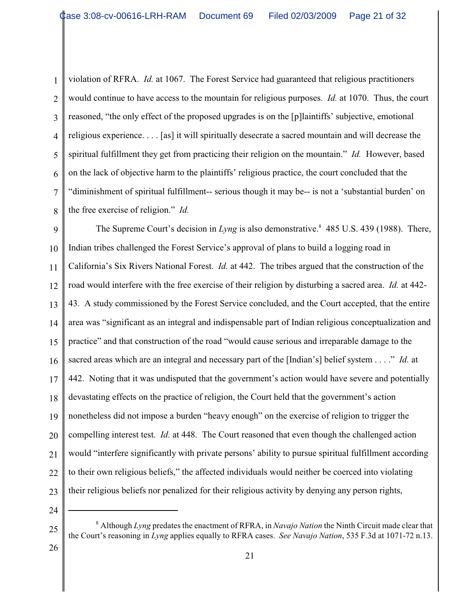1 2 3 4 5 6 7 8 violation of RFRA. *Id.* at 1067. The Forest Service had guaranteed that religious practitioners would continue to have access to the mountain for religious purposes. *Id.* at 1070. Thus, the court reasoned, "the only effect of the proposed upgrades is on the [p]laintiffs' subjective, emotional religious experience. . . . [as] it will spiritually desecrate a sacred mountain and will decrease the spiritual fulfillment they get from practicing their religion on the mountain." *Id.* However, based on the lack of objective harm to the plaintiffs' religious practice, the court concluded that the "diminishment of spiritual fulfillment-- serious though it may be-- is not a 'substantial burden' on the free exercise of religion." *Id.* 

9 10 11 12 13 14 15 16 17 18 19 20 21 22 23 The Supreme Court's decision in *Lyng* is also demonstrative.<sup>8</sup> 485 U.S. 439 (1988). There, Indian tribes challenged the Forest Service's approval of plans to build a logging road in California's Six Rivers National Forest. *Id.* at 442. The tribes argued that the construction of the road would interfere with the free exercise of their religion by disturbing a sacred area. *Id.* at 442- 43. A study commissioned by the Forest Service concluded, and the Court accepted, that the entire area was "significant as an integral and indispensable part of Indian religious conceptualization and practice" and that construction of the road "would cause serious and irreparable damage to the sacred areas which are an integral and necessary part of the [Indian's] belief system . . . ." *Id.* at 442. Noting that it was undisputed that the government's action would have severe and potentially devastating effects on the practice of religion, the Court held that the government's action nonetheless did not impose a burden "heavy enough" on the exercise of religion to trigger the compelling interest test. *Id.* at 448. The Court reasoned that even though the challenged action would "interfere significantly with private persons' ability to pursue spiritual fulfillment according to their own religious beliefs," the affected individuals would neither be coerced into violating their religious beliefs nor penalized for their religious activity by denying any person rights,

24

<sup>25</sup> Although *Lyng* predates the enactment of RFRA, in *Navajo Nation* the Ninth Circuit made clear that <sup>8</sup> the Court's reasoning in *Lyng* applies equally to RFRA cases. *See Navajo Nation*, 535 F.3d at 1071-72 n.13.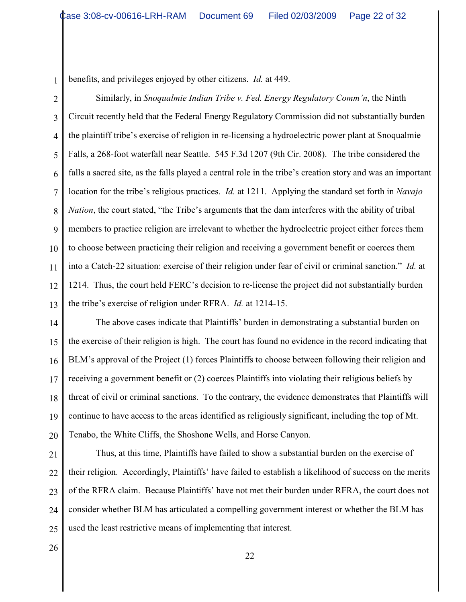1 benefits, and privileges enjoyed by other citizens. *Id.* at 449.

2 3 4 5 6 7 8 9 10 11 12 13 Similarly, in *Snoqualmie Indian Tribe v. Fed. Energy Regulatory Comm'n*, the Ninth Circuit recently held that the Federal Energy Regulatory Commission did not substantially burden the plaintiff tribe's exercise of religion in re-licensing a hydroelectric power plant at Snoqualmie Falls, a 268-foot waterfall near Seattle. 545 F.3d 1207 (9th Cir. 2008). The tribe considered the falls a sacred site, as the falls played a central role in the tribe's creation story and was an important location for the tribe's religious practices. *Id.* at 1211. Applying the standard set forth in *Navajo Nation*, the court stated, "the Tribe's arguments that the dam interferes with the ability of tribal members to practice religion are irrelevant to whether the hydroelectric project either forces them to choose between practicing their religion and receiving a government benefit or coerces them into a Catch-22 situation: exercise of their religion under fear of civil or criminal sanction." *Id.* at 1214. Thus, the court held FERC's decision to re-license the project did not substantially burden the tribe's exercise of religion under RFRA. *Id.* at 1214-15.

14 15 16 17 18 19 20 The above cases indicate that Plaintiffs' burden in demonstrating a substantial burden on the exercise of their religion is high. The court has found no evidence in the record indicating that BLM's approval of the Project (1) forces Plaintiffs to choose between following their religion and receiving a government benefit or (2) coerces Plaintiffs into violating their religious beliefs by threat of civil or criminal sanctions. To the contrary, the evidence demonstrates that Plaintiffs will continue to have access to the areas identified as religiously significant, including the top of Mt. Tenabo, the White Cliffs, the Shoshone Wells, and Horse Canyon.

21 22 23 24 25 Thus, at this time, Plaintiffs have failed to show a substantial burden on the exercise of their religion. Accordingly, Plaintiffs' have failed to establish a likelihood of success on the merits of the RFRA claim. Because Plaintiffs' have not met their burden under RFRA, the court does not consider whether BLM has articulated a compelling government interest or whether the BLM has used the least restrictive means of implementing that interest.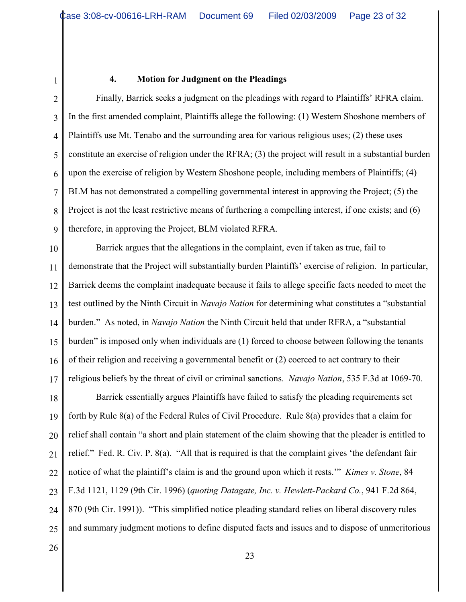1

#### **4. Motion for Judgment on the Pleadings**

2 3 4 5 6 7 8 9 Finally, Barrick seeks a judgment on the pleadings with regard to Plaintiffs' RFRA claim. In the first amended complaint, Plaintiffs allege the following: (1) Western Shoshone members of Plaintiffs use Mt. Tenabo and the surrounding area for various religious uses; (2) these uses constitute an exercise of religion under the RFRA; (3) the project will result in a substantial burden upon the exercise of religion by Western Shoshone people, including members of Plaintiffs; (4) BLM has not demonstrated a compelling governmental interest in approving the Project; (5) the Project is not the least restrictive means of furthering a compelling interest, if one exists; and (6) therefore, in approving the Project, BLM violated RFRA.

10 11 12 13 14 15 16 17 Barrick argues that the allegations in the complaint, even if taken as true, fail to demonstrate that the Project will substantially burden Plaintiffs' exercise of religion. In particular, Barrick deems the complaint inadequate because it fails to allege specific facts needed to meet the test outlined by the Ninth Circuit in *Navajo Nation* for determining what constitutes a "substantial burden." As noted, in *Navajo Nation* the Ninth Circuit held that under RFRA, a "substantial burden" is imposed only when individuals are (1) forced to choose between following the tenants of their religion and receiving a governmental benefit or (2) coerced to act contrary to their religious beliefs by the threat of civil or criminal sanctions. *Navajo Nation*, 535 F.3d at 1069-70.

18 19 20 21 22 23 24 25 Barrick essentially argues Plaintiffs have failed to satisfy the pleading requirements set forth by Rule 8(a) of the Federal Rules of Civil Procedure. Rule 8(a) provides that a claim for relief shall contain "a short and plain statement of the claim showing that the pleader is entitled to relief." Fed. R. Civ. P. 8(a). "All that is required is that the complaint gives 'the defendant fair notice of what the plaintiff's claim is and the ground upon which it rests.'" *Kimes v. Stone*, 84 F.3d 1121, 1129 (9th Cir. 1996) (*quoting Datagate, Inc. v. Hewlett-Packard Co.*, 941 F.2d 864, 870 (9th Cir. 1991)). "This simplified notice pleading standard relies on liberal discovery rules and summary judgment motions to define disputed facts and issues and to dispose of unmeritorious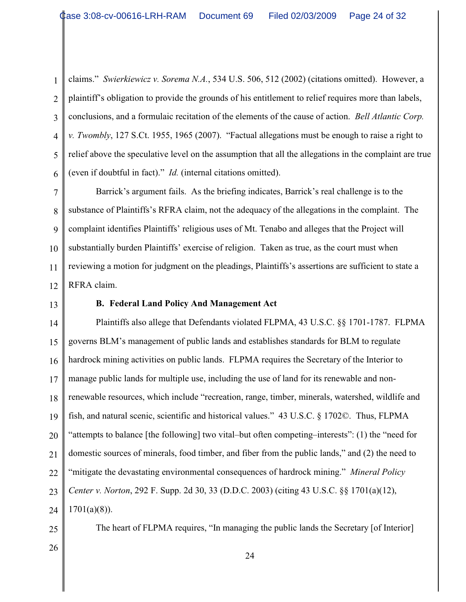1 2 3 4 5 6 claims." *Swierkiewicz v. Sorema N.A.*, 534 U.S. 506, 512 (2002) (citations omitted). However, a plaintiff's obligation to provide the grounds of his entitlement to relief requires more than labels, conclusions, and a formulaic recitation of the elements of the cause of action. *Bell Atlantic Corp. v. Twombly*, 127 S.Ct. 1955, 1965 (2007). "Factual allegations must be enough to raise a right to relief above the speculative level on the assumption that all the allegations in the complaint are true (even if doubtful in fact)." *Id.* (internal citations omitted).

7 8 9 10 11 12 Barrick's argument fails. As the briefing indicates, Barrick's real challenge is to the substance of Plaintiffs's RFRA claim, not the adequacy of the allegations in the complaint. The complaint identifies Plaintiffs' religious uses of Mt. Tenabo and alleges that the Project will substantially burden Plaintiffs' exercise of religion. Taken as true, as the court must when reviewing a motion for judgment on the pleadings, Plaintiffs's assertions are sufficient to state a RFRA claim.

13

# **B. Federal Land Policy And Management Act**

14 15 16 17 18 19 20 21 22 23 24 25 Plaintiffs also allege that Defendants violated FLPMA, 43 U.S.C. §§ 1701-1787. FLPMA governs BLM's management of public lands and establishes standards for BLM to regulate hardrock mining activities on public lands. FLPMA requires the Secretary of the Interior to manage public lands for multiple use, including the use of land for its renewable and nonrenewable resources, which include "recreation, range, timber, minerals, watershed, wildlife and fish, and natural scenic, scientific and historical values." 43 U.S.C. § 1702©. Thus, FLPMA "attempts to balance [the following] two vital–but often competing–interests": (1) the "need for domestic sources of minerals, food timber, and fiber from the public lands," and (2) the need to "mitigate the devastating environmental consequences of hardrock mining." *Mineral Policy Center v. Norton*, 292 F. Supp. 2d 30, 33 (D.D.C. 2003) (citing 43 U.S.C. §§ 1701(a)(12),  $1701(a)(8)$ ). The heart of FLPMA requires, "In managing the public lands the Secretary [of Interior]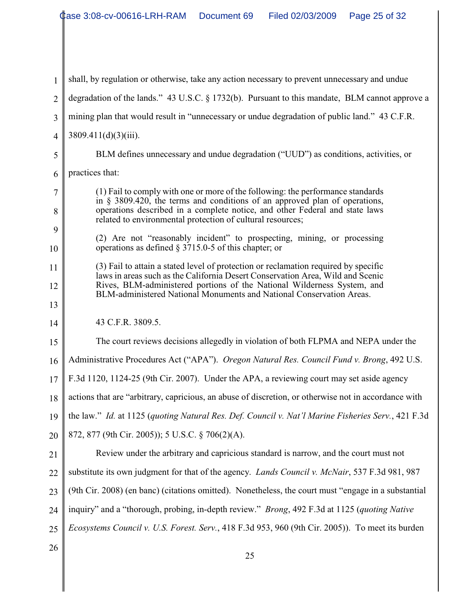1 2 3 4 5 6 7 8 9 10 11 12 13 14 15 16 17 18 19 20 21 22 23 24 25 26 25 shall, by regulation or otherwise, take any action necessary to prevent unnecessary and undue degradation of the lands." 43 U.S.C. § 1732(b). Pursuant to this mandate, BLM cannot approve a mining plan that would result in "unnecessary or undue degradation of public land." 43 C.F.R.  $3809.411(d)(3)(iii)$ . BLM defines unnecessary and undue degradation ("UUD") as conditions, activities, or practices that: (1) Fail to comply with one or more of the following: the performance standards in § 3809.420, the terms and conditions of an approved plan of operations, operations described in a complete notice, and other Federal and state laws related to environmental protection of cultural resources; (2) Are not "reasonably incident" to prospecting, mining, or processing operations as defined § 3715.0-5 of this chapter; or (3) Fail to attain a stated level of protection or reclamation required by specific laws in areas such as the California Desert Conservation Area, Wild and Scenic Rives, BLM-administered portions of the National Wilderness System, and BLM-administered National Monuments and National Conservation Areas. 43 C.F.R. 3809.5. The court reviews decisions allegedly in violation of both FLPMA and NEPA under the Administrative Procedures Act ("APA"). *Oregon Natural Res. Council Fund v. Brong*, 492 U.S. F.3d 1120, 1124-25 (9th Cir. 2007). Under the APA, a reviewing court may set aside agency actions that are "arbitrary, capricious, an abuse of discretion, or otherwise not in accordance with the law." *Id.* at 1125 (*quoting Natural Res. Def. Council v. Nat'l Marine Fisheries Serv.*, 421 F.3d 872, 877 (9th Cir. 2005)); 5 U.S.C. § 706(2)(A). Review under the arbitrary and capricious standard is narrow, and the court must not substitute its own judgment for that of the agency. *Lands Council v. McNair*, 537 F.3d 981, 987 (9th Cir. 2008) (en banc) (citations omitted). Nonetheless, the court must "engage in a substantial inquiry" and a "thorough, probing, in-depth review." *Brong*, 492 F.3d at 1125 (*quoting Native Ecosystems Council v. U.S. Forest. Serv.*, 418 F.3d 953, 960 (9th Cir. 2005)). To meet its burden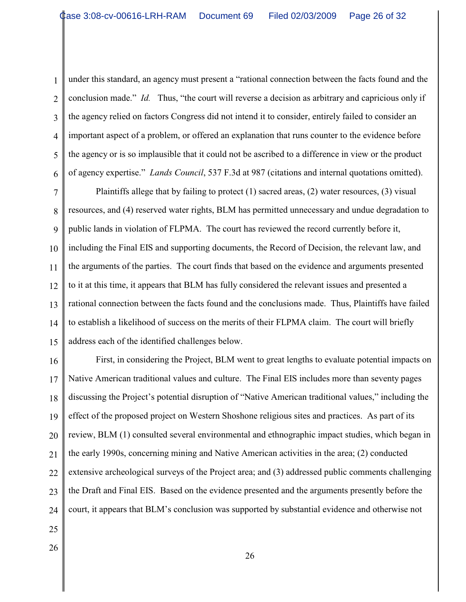1 2 3 4 5 6 under this standard, an agency must present a "rational connection between the facts found and the conclusion made." *Id.* Thus, "the court will reverse a decision as arbitrary and capricious only if the agency relied on factors Congress did not intend it to consider, entirely failed to consider an important aspect of a problem, or offered an explanation that runs counter to the evidence before the agency or is so implausible that it could not be ascribed to a difference in view or the product of agency expertise." *Lands Council*, 537 F.3d at 987 (citations and internal quotations omitted).

7 8 9 10 11 12 13 14 15 Plaintiffs allege that by failing to protect (1) sacred areas, (2) water resources, (3) visual resources, and (4) reserved water rights, BLM has permitted unnecessary and undue degradation to public lands in violation of FLPMA. The court has reviewed the record currently before it, including the Final EIS and supporting documents, the Record of Decision, the relevant law, and the arguments of the parties. The court finds that based on the evidence and arguments presented to it at this time, it appears that BLM has fully considered the relevant issues and presented a rational connection between the facts found and the conclusions made. Thus, Plaintiffs have failed to establish a likelihood of success on the merits of their FLPMA claim. The court will briefly address each of the identified challenges below.

16 17 18 19 20 21 22 23 24 First, in considering the Project, BLM went to great lengths to evaluate potential impacts on Native American traditional values and culture. The Final EIS includes more than seventy pages discussing the Project's potential disruption of "Native American traditional values," including the effect of the proposed project on Western Shoshone religious sites and practices. As part of its review, BLM (1) consulted several environmental and ethnographic impact studies, which began in the early 1990s, concerning mining and Native American activities in the area; (2) conducted extensive archeological surveys of the Project area; and (3) addressed public comments challenging the Draft and Final EIS. Based on the evidence presented and the arguments presently before the court, it appears that BLM's conclusion was supported by substantial evidence and otherwise not

- 25
- 26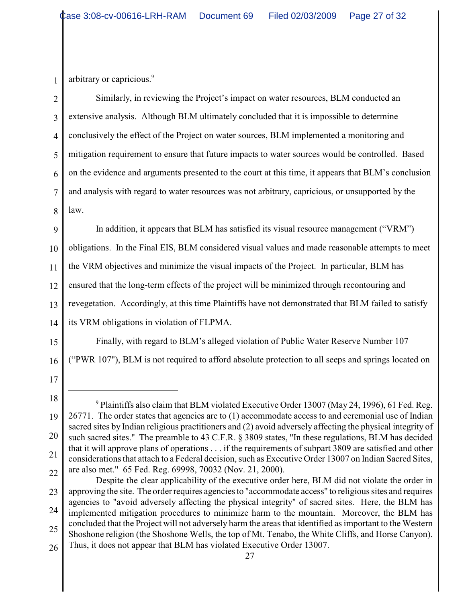arbitrary or capricious.<sup>9</sup>

1

2 3 4 5 6 7 8 Similarly, in reviewing the Project's impact on water resources, BLM conducted an extensive analysis. Although BLM ultimately concluded that it is impossible to determine conclusively the effect of the Project on water sources, BLM implemented a monitoring and mitigation requirement to ensure that future impacts to water sources would be controlled. Based on the evidence and arguments presented to the court at this time, it appears that BLM's conclusion and analysis with regard to water resources was not arbitrary, capricious, or unsupported by the law.

9 10 11 12 13 14 In addition, it appears that BLM has satisfied its visual resource management ("VRM") obligations. In the Final EIS, BLM considered visual values and made reasonable attempts to meet the VRM objectives and minimize the visual impacts of the Project. In particular, BLM has ensured that the long-term effects of the project will be minimized through recontouring and revegetation. Accordingly, at this time Plaintiffs have not demonstrated that BLM failed to satisfy its VRM obligations in violation of FLPMA.

Finally, with regard to BLM's alleged violation of Public Water Reserve Number 107 ("PWR 107"), BLM is not required to afford absolute protection to all seeps and springs located on

16 17

<sup>18</sup> 19 20 21 22  $9$  Plaintiffs also claim that BLM violated Executive Order 13007 (May 24, 1996), 61 Fed. Reg. 26771. The order states that agencies are to (1) accommodate access to and ceremonial use of Indian sacred sites by Indian religious practitioners and (2) avoid adversely affecting the physical integrity of such sacred sites." The preamble to 43 C.F.R. § 3809 states, "In these regulations, BLM has decided that it will approve plans of operations . . . if the requirements of subpart 3809 are satisfied and other considerations that attach to a Federal decision, such as Executive Order 13007 on Indian Sacred Sites, are also met." 65 Fed. Reg. 69998, 70032 (Nov. 21, 2000).

<sup>23</sup> 24 25 26 Despite the clear applicability of the executive order here, BLM did not violate the order in approving the site. The order requires agencies to "accommodate access" to religious sites and requires agencies to "avoid adversely affecting the physical integrity" of sacred sites. Here, the BLM has implemented mitigation procedures to minimize harm to the mountain. Moreover, the BLM has concluded that the Project will not adversely harm the areas that identified as important to the Western Shoshone religion (the Shoshone Wells, the top of Mt. Tenabo, the White Cliffs, and Horse Canyon). Thus, it does not appear that BLM has violated Executive Order 13007.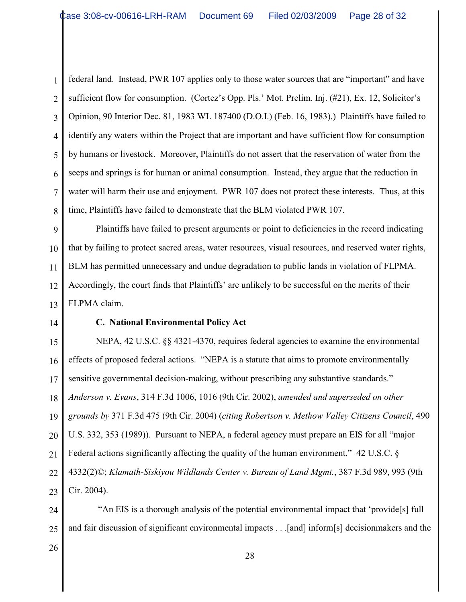1 2 3 4 5 6 7 8 federal land. Instead, PWR 107 applies only to those water sources that are "important" and have sufficient flow for consumption. (Cortez's Opp. Pls.' Mot. Prelim. Inj. (#21), Ex. 12, Solicitor's Opinion, 90 Interior Dec. 81, 1983 WL 187400 (D.O.I.) (Feb. 16, 1983).) Plaintiffs have failed to identify any waters within the Project that are important and have sufficient flow for consumption by humans or livestock. Moreover, Plaintiffs do not assert that the reservation of water from the seeps and springs is for human or animal consumption. Instead, they argue that the reduction in water will harm their use and enjoyment. PWR 107 does not protect these interests. Thus, at this time, Plaintiffs have failed to demonstrate that the BLM violated PWR 107.

9 10 11 12 13 Plaintiffs have failed to present arguments or point to deficiencies in the record indicating that by failing to protect sacred areas, water resources, visual resources, and reserved water rights, BLM has permitted unnecessary and undue degradation to public lands in violation of FLPMA. Accordingly, the court finds that Plaintiffs' are unlikely to be successful on the merits of their FLPMA claim.

14

#### **C. National Environmental Policy Act**

15 16 17 18 19 20 21 22 23 NEPA, 42 U.S.C. §§ 4321-4370, requires federal agencies to examine the environmental effects of proposed federal actions. "NEPA is a statute that aims to promote environmentally sensitive governmental decision-making, without prescribing any substantive standards." *Anderson v. Evans*, 314 F.3d 1006, 1016 (9th Cir. 2002), *amended and superseded on other grounds by* 371 F.3d 475 (9th Cir. 2004) (*citing Robertson v. Methow Valley Citizens Council*, 490 U.S. 332, 353 (1989)). Pursuant to NEPA, a federal agency must prepare an EIS for all "major Federal actions significantly affecting the quality of the human environment." 42 U.S.C. § 4332(2)©; *Klamath-Siskiyou Wildlands Center v. Bureau of Land Mgmt.*, 387 F.3d 989, 993 (9th Cir. 2004).

24 25 "An EIS is a thorough analysis of the potential environmental impact that 'provide[s] full and fair discussion of significant environmental impacts . . .[and] inform[s] decisionmakers and the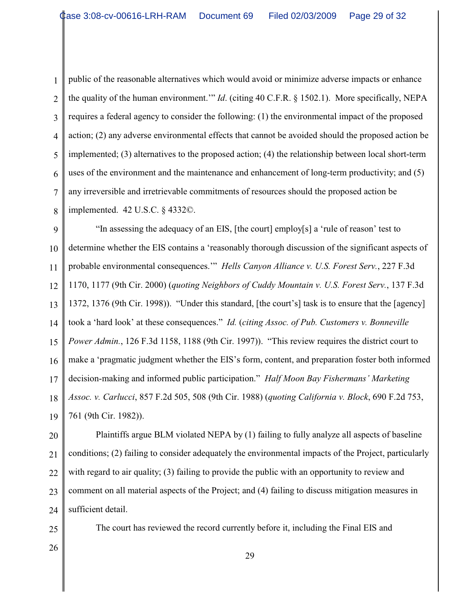1 2 3 4 5 6 7 8 public of the reasonable alternatives which would avoid or minimize adverse impacts or enhance the quality of the human environment.'" *Id*. (citing 40 C.F.R. § 1502.1). More specifically, NEPA requires a federal agency to consider the following: (1) the environmental impact of the proposed action; (2) any adverse environmental effects that cannot be avoided should the proposed action be implemented; (3) alternatives to the proposed action; (4) the relationship between local short-term uses of the environment and the maintenance and enhancement of long-term productivity; and (5) any irreversible and irretrievable commitments of resources should the proposed action be implemented. 42 U.S.C. § 4332©.

9 10 11 12 13 14 15 16 17 18 19 "In assessing the adequacy of an EIS, [the court] employ[s] a 'rule of reason' test to determine whether the EIS contains a 'reasonably thorough discussion of the significant aspects of probable environmental consequences.'" *Hells Canyon Alliance v. U.S. Forest Serv.*, 227 F.3d 1170, 1177 (9th Cir. 2000) (*quoting Neighbors of Cuddy Mountain v. U.S. Forest Serv.*, 137 F.3d 1372, 1376 (9th Cir. 1998)). "Under this standard, [the court's] task is to ensure that the [agency] took a 'hard look' at these consequences." *Id.* (*citing Assoc. of Pub. Customers v. Bonneville Power Admin.*, 126 F.3d 1158, 1188 (9th Cir. 1997)). "This review requires the district court to make a 'pragmatic judgment whether the EIS's form, content, and preparation foster both informed decision-making and informed public participation." *Half Moon Bay Fishermans' Marketing Assoc. v. Carlucci*, 857 F.2d 505, 508 (9th Cir. 1988) (*quoting California v. Block*, 690 F.2d 753, 761 (9th Cir. 1982)).

20 21 22 23 24 Plaintiffs argue BLM violated NEPA by (1) failing to fully analyze all aspects of baseline conditions; (2) failing to consider adequately the environmental impacts of the Project, particularly with regard to air quality; (3) failing to provide the public with an opportunity to review and comment on all material aspects of the Project; and (4) failing to discuss mitigation measures in sufficient detail.

The court has reviewed the record currently before it, including the Final EIS and

26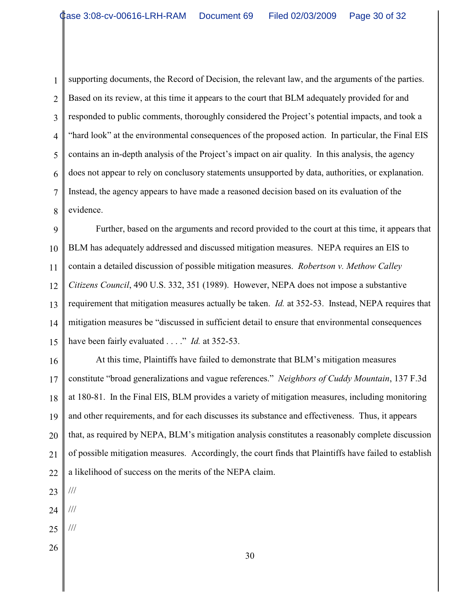1 2 3 4 5 6 7 8 supporting documents, the Record of Decision, the relevant law, and the arguments of the parties. Based on its review, at this time it appears to the court that BLM adequately provided for and responded to public comments, thoroughly considered the Project's potential impacts, and took a "hard look" at the environmental consequences of the proposed action. In particular, the Final EIS contains an in-depth analysis of the Project's impact on air quality. In this analysis, the agency does not appear to rely on conclusory statements unsupported by data, authorities, or explanation. Instead, the agency appears to have made a reasoned decision based on its evaluation of the evidence.

9 10 11 12 13 14 15 Further, based on the arguments and record provided to the court at this time, it appears that BLM has adequately addressed and discussed mitigation measures. NEPA requires an EIS to contain a detailed discussion of possible mitigation measures. *Robertson v. Methow Calley Citizens Council*, 490 U.S. 332, 351 (1989). However, NEPA does not impose a substantive requirement that mitigation measures actually be taken. *Id.* at 352-53. Instead, NEPA requires that mitigation measures be "discussed in sufficient detail to ensure that environmental consequences have been fairly evaluated . . . ." *Id.* at 352-53.

16 17 18 19 20 21 22 At this time, Plaintiffs have failed to demonstrate that BLM's mitigation measures constitute "broad generalizations and vague references." *Neighbors of Cuddy Mountain*, 137 F.3d at 180-81. In the Final EIS, BLM provides a variety of mitigation measures, including monitoring and other requirements, and for each discusses its substance and effectiveness. Thus, it appears that, as required by NEPA, BLM's mitigation analysis constitutes a reasonably complete discussion of possible mitigation measures. Accordingly, the court finds that Plaintiffs have failed to establish a likelihood of success on the merits of the NEPA claim.

- 23 ///
- 24 ///
- 25 ///
- 26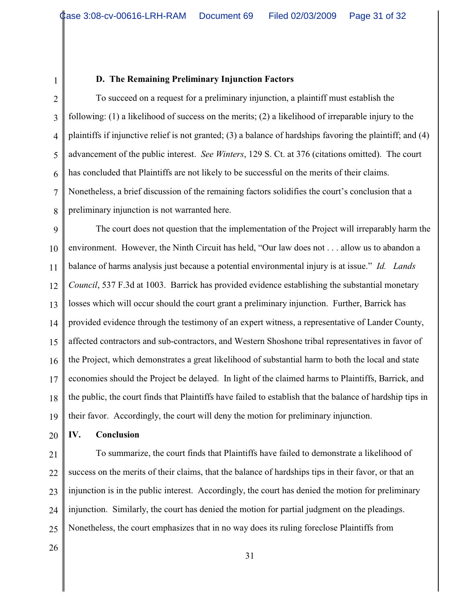1

### **D. The Remaining Preliminary Injunction Factors**

2 3 4 5 6 7 8 To succeed on a request for a preliminary injunction, a plaintiff must establish the following: (1) a likelihood of success on the merits; (2) a likelihood of irreparable injury to the plaintiffs if injunctive relief is not granted; (3) a balance of hardships favoring the plaintiff; and (4) advancement of the public interest. *See Winters*, 129 S. Ct. at 376 (citations omitted). The court has concluded that Plaintiffs are not likely to be successful on the merits of their claims. Nonetheless, a brief discussion of the remaining factors solidifies the court's conclusion that a preliminary injunction is not warranted here.

9 10 11 12 13 14 15 16 17 18 19 The court does not question that the implementation of the Project will irreparably harm the environment. However, the Ninth Circuit has held, "Our law does not . . . allow us to abandon a balance of harms analysis just because a potential environmental injury is at issue." *Id. Lands Council*, 537 F.3d at 1003. Barrick has provided evidence establishing the substantial monetary losses which will occur should the court grant a preliminary injunction. Further, Barrick has provided evidence through the testimony of an expert witness, a representative of Lander County, affected contractors and sub-contractors, and Western Shoshone tribal representatives in favor of the Project, which demonstrates a great likelihood of substantial harm to both the local and state economies should the Project be delayed. In light of the claimed harms to Plaintiffs, Barrick, and the public, the court finds that Plaintiffs have failed to establish that the balance of hardship tips in their favor. Accordingly, the court will deny the motion for preliminary injunction.

20 **IV. Conclusion**

21

22 23 24 25 To summarize, the court finds that Plaintiffs have failed to demonstrate a likelihood of success on the merits of their claims, that the balance of hardships tips in their favor, or that an injunction is in the public interest. Accordingly, the court has denied the motion for preliminary injunction. Similarly, the court has denied the motion for partial judgment on the pleadings. Nonetheless, the court emphasizes that in no way does its ruling foreclose Plaintiffs from